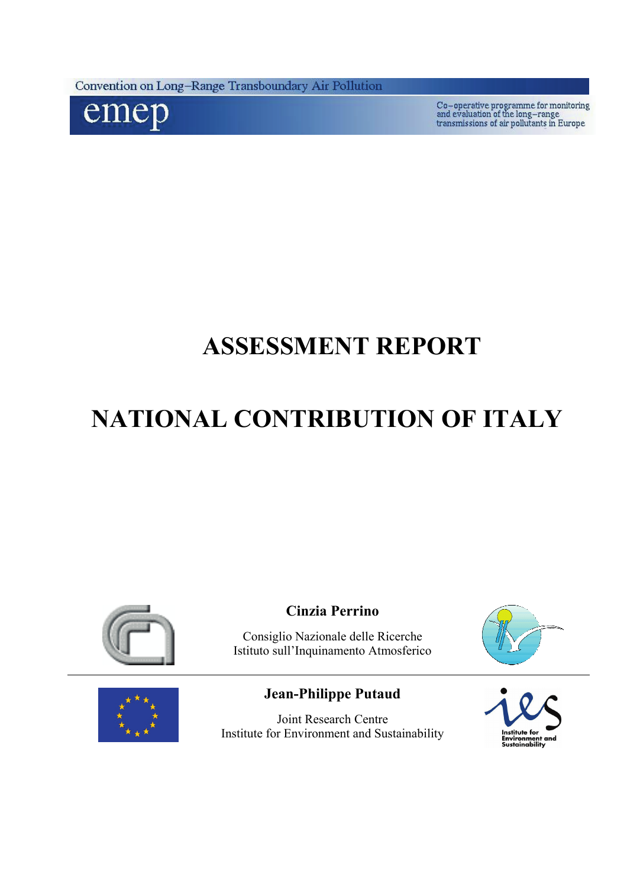Convention on Long-Range Transboundary Air Pollution



 $\label{eq:co-operative} \begin{minipage}{0.5\textwidth} \begin{tabular}{l} \multicolumn{2}{l}{\textbf{Co-operative programme for monitoring}}\\ \multicolumn{2}{l}{\textbf{and evaluation of the long-range}}\\ \textbf{transmissions of air pollutants in Europe} \end{tabular} \end{minipage}$ 

# **ASSESSMENT REPORT**

# **NATIONAL CONTRIBUTION OF ITALY**



**Cinzia Perrino** 

Consiglio Nazionale delle Ricerche Istituto sull'Inquinamento Atmosferico





# **Jean-Philippe Putaud**

Joint Research Centre Institute for Environment and Sustainability

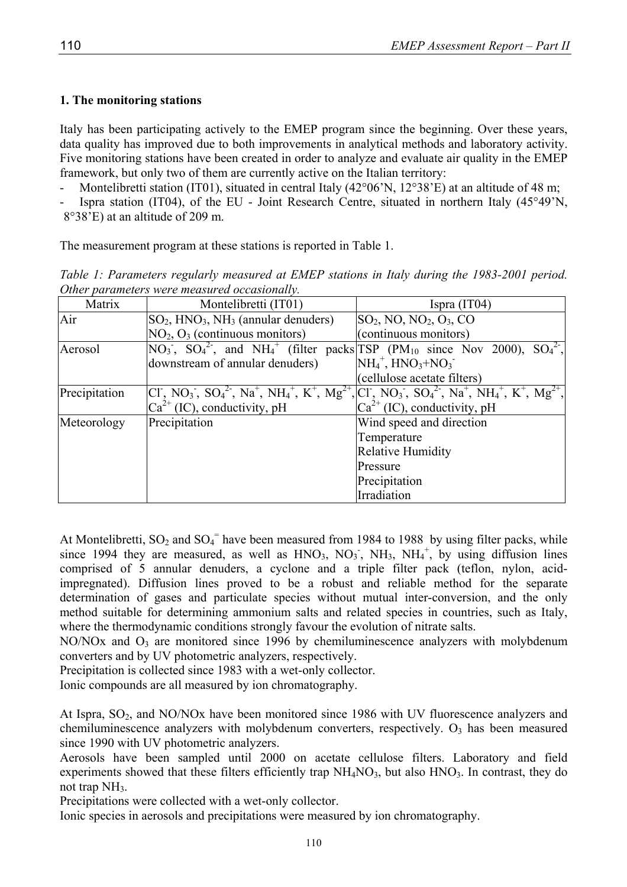# **1. The monitoring stations**

Italy has been participating actively to the EMEP program since the beginning. Over these years, data quality has improved due to both improvements in analytical methods and laboratory activity. Five monitoring stations have been created in order to analyze and evaluate air quality in the EMEP framework, but only two of them are currently active on the Italian territory:

Montelibretti station (IT01), situated in central Italy (42°06'N, 12°38'E) at an altitude of 48 m;

Ispra station (IT04), of the EU - Joint Research Centre, situated in northern Italy (45°49'N, 8°38'E) at an altitude of 209 m.

The measurement program at these stations is reported in Table 1.

*Table 1: Parameters regularly measured at EMEP stations in Italy during the 1983-2001 period. Other parameters were measured occasionally.* 

| Matrix        | Montelibretti (IT01)                         | Ispra $(IT04)$                                                                                              |
|---------------|----------------------------------------------|-------------------------------------------------------------------------------------------------------------|
| Air           | $SO_2$ , $HNO_3$ , $NH_3$ (annular denuders) | $SO_2$ , NO, NO <sub>2</sub> , O <sub>3</sub> , CO                                                          |
|               | $NO2, O3$ (continuous monitors)              | (continuous monitors)                                                                                       |
| Aerosol       |                                              | $NO_3$ , $SO_4^2$ , and $NH_4^+$ (filter packs TSP (PM <sub>10</sub> since Nov 2000), $SO_4^2$ ,            |
|               | downstream of annular denuders)              | $NH_4^+$ , $HNO_3+NO_3^-$                                                                                   |
|               |                                              | (cellulose acetate filters)                                                                                 |
| Precipitation |                                              | $\left[CI, NO_3, SO_4^2, Na^+, NH_4^+, K^+, Mg^{2+}, Cl, NO_3, SO_4^2, Na^+, NH_4^+, K^+, Mg^{2+}, \right]$ |
|               | $Ca^{2+}$ (IC), conductivity, pH             | $Ca^{2+}$ (IC), conductivity, pH                                                                            |
| Meteorology   | Precipitation                                | Wind speed and direction                                                                                    |
|               |                                              | Temperature                                                                                                 |
|               |                                              | Relative Humidity                                                                                           |
|               |                                              | Pressure                                                                                                    |
|               |                                              | Precipitation                                                                                               |
|               |                                              | Irradiation                                                                                                 |

At Montelibretti,  $SO_2$  and  $SO_4$ <sup>=</sup> have been measured from 1984 to 1988 by using filter packs, while since 1994 they are measured, as well as  $HNO<sub>3</sub>$ ,  $NO<sub>3</sub>$ ,  $NH<sub>3</sub>$ ,  $NH<sub>4</sub>$ , by using diffusion lines comprised of 5 annular denuders, a cyclone and a triple filter pack (teflon, nylon, acidimpregnated). Diffusion lines proved to be a robust and reliable method for the separate determination of gases and particulate species without mutual inter-conversion, and the only method suitable for determining ammonium salts and related species in countries, such as Italy, where the thermodynamic conditions strongly favour the evolution of nitrate salts.

 $NO/NOx$  and  $O<sub>3</sub>$  are monitored since 1996 by chemiluminescence analyzers with molybdenum converters and by UV photometric analyzers, respectively.

Precipitation is collected since 1983 with a wet-only collector.

Ionic compounds are all measured by ion chromatography.

At Ispra,  $SO_2$ , and NO/NOx have been monitored since 1986 with UV fluorescence analyzers and chemiluminescence analyzers with molybdenum converters, respectively.  $O<sub>3</sub>$  has been measured since 1990 with UV photometric analyzers.

Aerosols have been sampled until 2000 on acetate cellulose filters. Laboratory and field experiments showed that these filters efficiently trap  $NH<sub>4</sub>NO<sub>3</sub>$ , but also  $HNO<sub>3</sub>$ . In contrast, they do not trap  $NH<sub>3</sub>$ .

Precipitations were collected with a wet-only collector.

Ionic species in aerosols and precipitations were measured by ion chromatography.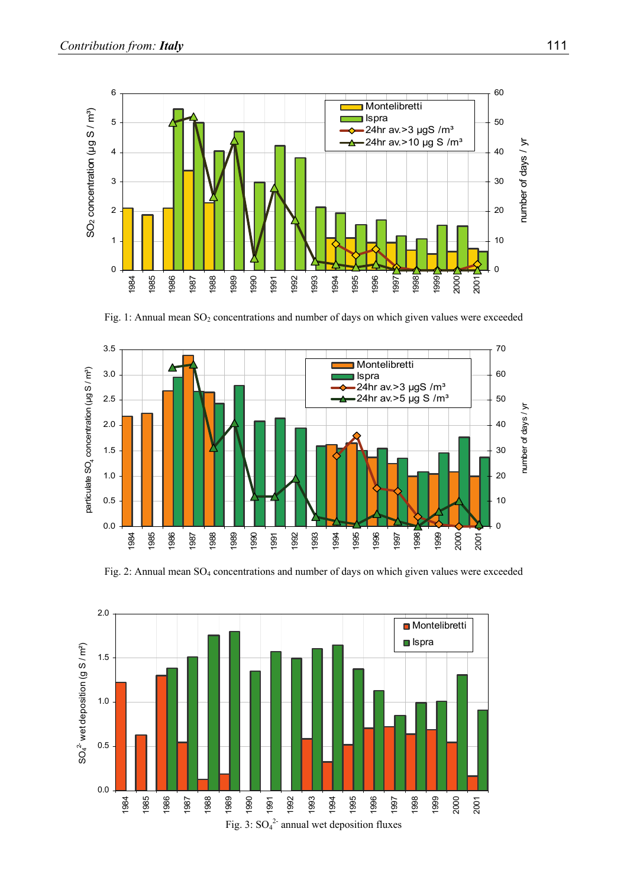

Fig. 1: Annual mean SO<sub>2</sub> concentrations and number of days on which given values were exceeded



Fig. 2: Annual mean SO<sub>4</sub> concentrations and number of days on which given values were exceeded

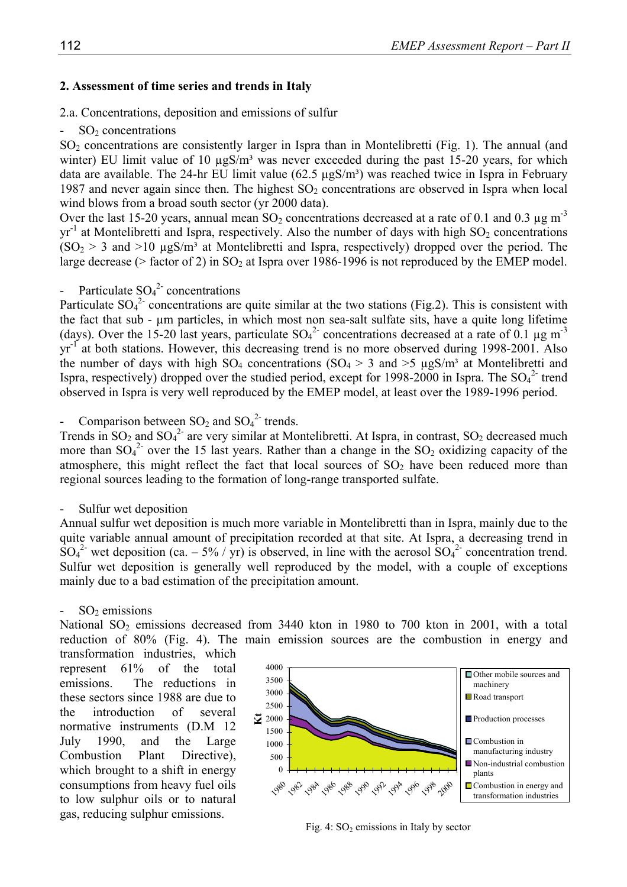## **2. Assessment of time series and trends in Italy**

2.a. Concentrations, deposition and emissions of sulfur

## $SO<sub>2</sub>$  concentrations

SO<sub>2</sub> concentrations are consistently larger in Ispra than in Montelibretti (Fig. 1). The annual (and winter) EU limit value of 10  $\mu$ gS/m<sup>3</sup> was never exceeded during the past 15-20 years, for which data are available. The 24-hr EU limit value  $(62.5 \mu gS/m<sup>3</sup>)$  was reached twice in Ispra in February 1987 and never again since then. The highest  $SO<sub>2</sub>$  concentrations are observed in Ispra when local wind blows from a broad south sector (yr 2000 data).

Over the last 15-20 years, annual mean  $SO_2$  concentrations decreased at a rate of 0.1 and 0.3  $\mu$ g m<sup>-3</sup>  $yr^{-1}$  at Montelibretti and Ispra, respectively. Also the number of days with high  $SO_2$  concentrations  $(SO<sub>2</sub> > 3$  and  $>10 \mu$ gS/m<sup>3</sup> at Montelibretti and Ispra, respectively) dropped over the period. The large decrease ( $>$  factor of 2) in SO<sub>2</sub> at Ispra over 1986-1996 is not reproduced by the EMEP model.

- Particulate  $SO_4^2$  concentrations

Particulate  $SO_4^2$  concentrations are quite similar at the two stations (Fig.2). This is consistent with the fact that sub - µm particles, in which most non sea-salt sulfate sits, have a quite long lifetime (days). Over the 15-20 last years, particulate  $SO_4^2$  concentrations decreased at a rate of 0.1 µg m<sup>-3</sup> yr-1 at both stations. However, this decreasing trend is no more observed during 1998-2001. Also the number of days with high  $SO_4$  concentrations ( $SO_4 > 3$  and  $>5 \mu g S/m^3$  at Montelibretti and Ispra, respectively) dropped over the studied period, except for 1998-2000 in Ispra. The  $SO_4^2$  trend observed in Ispra is very well reproduced by the EMEP model, at least over the 1989-1996 period.

- Comparison between  $SO_2$  and  $SO_4^2$  trends.

Trends in  $SO_2$  and  $SO_4^2$  are very similar at Montelibretti. At Ispra, in contrast,  $SO_2$  decreased much more than  $SO_4^2$  over the 15 last years. Rather than a change in the  $SO_2$  oxidizing capacity of the atmosphere, this might reflect the fact that local sources of  $SO<sub>2</sub>$  have been reduced more than regional sources leading to the formation of long-range transported sulfate.

## Sulfur wet deposition

Annual sulfur wet deposition is much more variable in Montelibretti than in Ispra, mainly due to the quite variable annual amount of precipitation recorded at that site. At Ispra, a decreasing trend in  $SO_4^2$  wet deposition (ca. – 5% / yr) is observed, in line with the aerosol  $SO_4^2$  concentration trend. Sulfur wet deposition is generally well reproduced by the model, with a couple of exceptions mainly due to a bad estimation of the precipitation amount.

## $SO<sub>2</sub>$  emissions

National  $SO_2$  emissions decreased from 3440 kton in 1980 to 700 kton in 2001, with a total reduction of 80% (Fig. 4). The main emission sources are the combustion in energy and

transformation industries, which represent 61% of the total emissions. The reductions in these sectors since 1988 are due to the introduction of several normative instruments (D.M 12 July 1990, and the Large Combustion Plant Directive), which brought to a shift in energy consumptions from heavy fuel oils to low sulphur oils or to natural gas, reducing sulphur emissions.



Fig. 4:  $SO<sub>2</sub>$  emissions in Italy by sector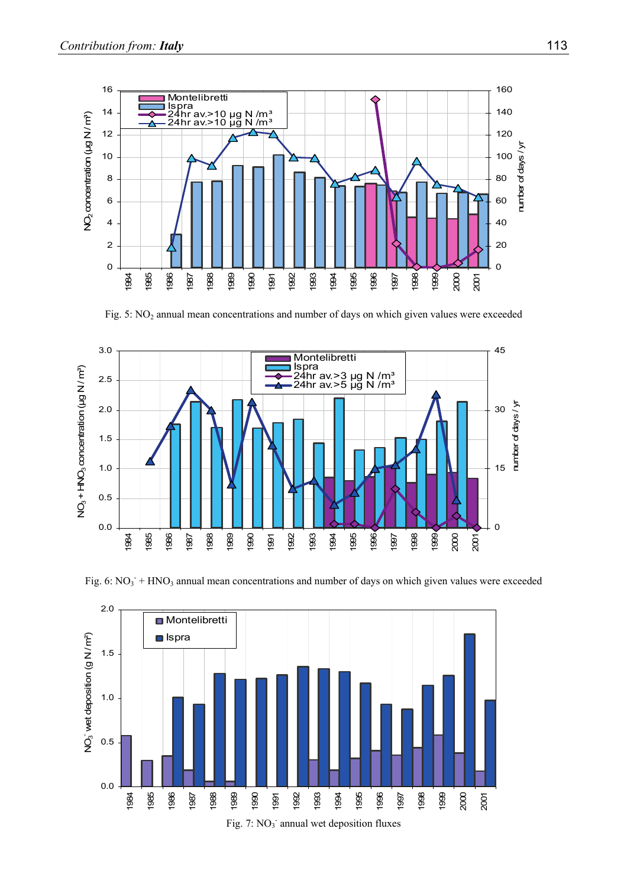

Fig. 5: NO<sub>2</sub> annual mean concentrations and number of days on which given values were exceeded



Fig. 6:  $NO_3$ <sup>+</sup> HNO<sub>3</sub> annual mean concentrations and number of days on which given values were exceeded

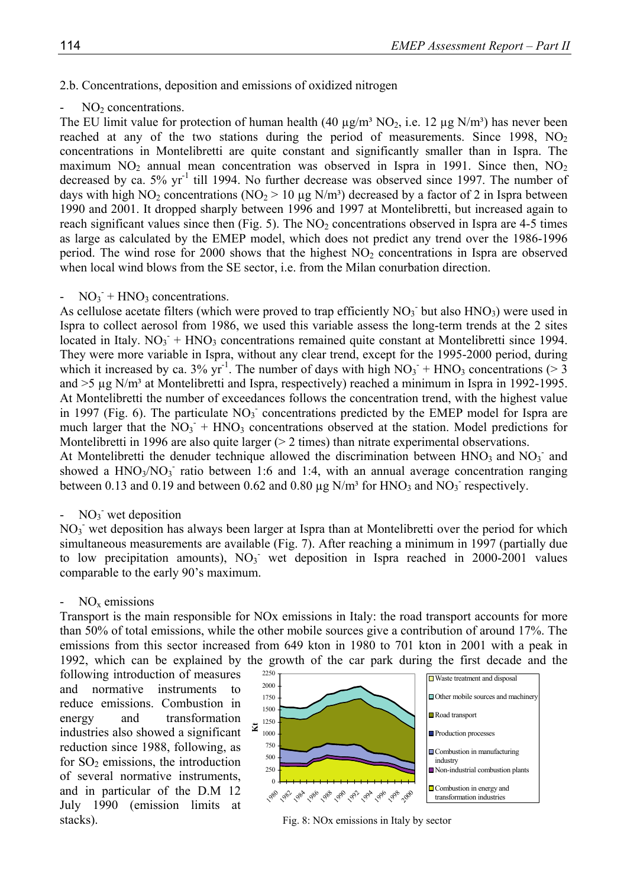#### 2.b. Concentrations, deposition and emissions of oxidized nitrogen

#### $NO<sub>2</sub> concentrations.$

The EU limit value for protection of human health (40  $\mu$ g/m<sup>3</sup> NO<sub>2</sub>, i.e. 12  $\mu$ g N/m<sup>3</sup>) has never been reached at any of the two stations during the period of measurements. Since 1998,  $NO<sub>2</sub>$ concentrations in Montelibretti are quite constant and significantly smaller than in Ispra. The maximum  $NO<sub>2</sub>$  annual mean concentration was observed in Ispra in 1991. Since then,  $NO<sub>2</sub>$ decreased by ca.  $5\%$  yr<sup>-1</sup> till 1994. No further decrease was observed since 1997. The number of days with high NO<sub>2</sub> concentrations (NO<sub>2</sub> > 10 µg N/m<sup>3</sup>) decreased by a factor of 2 in Ispra between 1990 and 2001. It dropped sharply between 1996 and 1997 at Montelibretti, but increased again to reach significant values since then (Fig. 5). The  $NO<sub>2</sub>$  concentrations observed in Ispra are 4-5 times as large as calculated by the EMEP model, which does not predict any trend over the 1986-1996 period. The wind rose for 2000 shows that the highest  $NO<sub>2</sub>$  concentrations in Ispra are observed when local wind blows from the SE sector, i.e. from the Milan conurbation direction.

# $- NO_3$ <sup>-</sup>  $+ HNO_3$  concentrations.

As cellulose acetate filters (which were proved to trap efficiently  $NO<sub>3</sub>$  but also  $HNO<sub>3</sub>$ ) were used in Ispra to collect aerosol from 1986, we used this variable assess the long-term trends at the 2 sites located in Italy.  $NO_3$ <sup>+</sup> HNO<sub>3</sub> concentrations remained quite constant at Montelibretti since 1994. They were more variable in Ispra, without any clear trend, except for the 1995-2000 period, during which it increased by ca. 3% yr<sup>-1</sup>. The number of days with high  $NO_3$ <sup>+</sup> HNO<sub>3</sub> concentrations (> 3) and  $>5 \mu$ g N/m<sup>3</sup> at Montelibretti and Ispra, respectively) reached a minimum in Ispra in 1992-1995. At Montelibretti the number of exceedances follows the concentration trend, with the highest value in 1997 (Fig. 6). The particulate  $NO<sub>3</sub>$  concentrations predicted by the EMEP model for Ispra are much larger that the  $\text{NO}_3$ <sup>+</sup> HNO<sub>3</sub> concentrations observed at the station. Model predictions for Montelibretti in 1996 are also quite larger ( $> 2$  times) than nitrate experimental observations. At Montelibretti the denuder technique allowed the discrimination between  $HNO<sub>3</sub>$  and  $NO<sub>3</sub>$  and showed a  $HNO<sub>3</sub>/NO<sub>3</sub>$  ratio between 1:6 and 1:4, with an annual average concentration ranging between 0.13 and 0.19 and between 0.62 and 0.80  $\mu$ g N/m<sup>3</sup> for HNO<sub>3</sub> and NO<sub>3</sub> respectively.

# -  $NO_3$  wet deposition

NO<sub>3</sub> wet deposition has always been larger at Ispra than at Montelibretti over the period for which simultaneous measurements are available (Fig. 7). After reaching a minimum in 1997 (partially due to low precipitation amounts),  $NO<sub>3</sub>$  wet deposition in Ispra reached in 2000-2001 values comparable to the early 90's maximum.

#### $NO<sub>x</sub>$  emissions

Transport is the main responsible for NOx emissions in Italy: the road transport accounts for more than 50% of total emissions, while the other mobile sources give a contribution of around 17%. The emissions from this sector increased from 649 kton in 1980 to 701 kton in 2001 with a peak in 1992, which can be explained by the growth of the car park during the first decade and the

following introduction of measures and normative instruments to reduce emissions. Combustion in energy and transformation industries also showed a significant reduction since 1988, following, as for  $SO<sub>2</sub>$  emissions, the introduction of several normative instruments, and in particular of the D.M 12 July 1990 (emission limits at stacks). Fig. 8: NOx emissions in Italy by sector

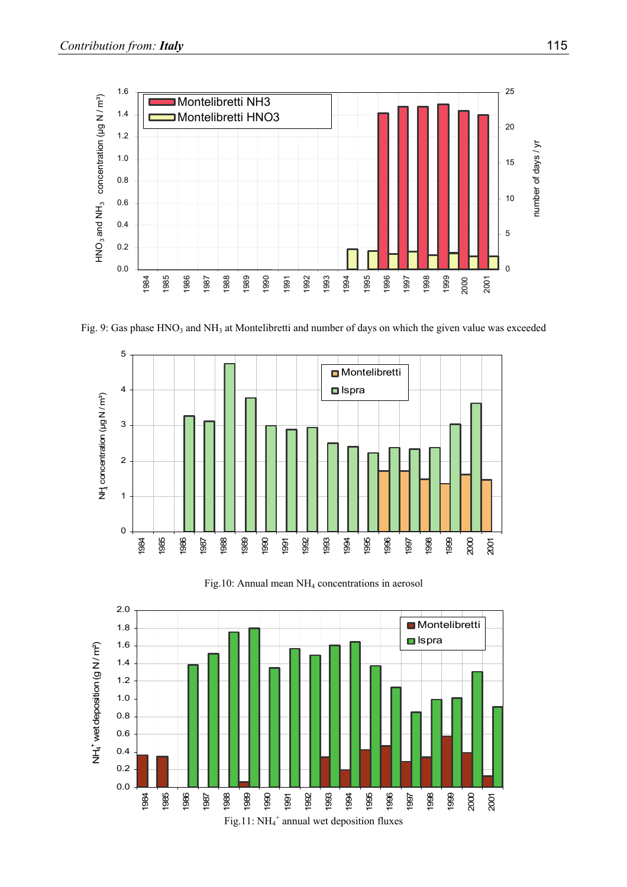

Fig. 9: Gas phase HNO<sub>3</sub> and NH<sub>3</sub> at Montelibretti and number of days on which the given value was exceeded



Fig.10: Annual mean NH4 concentrations in aerosol

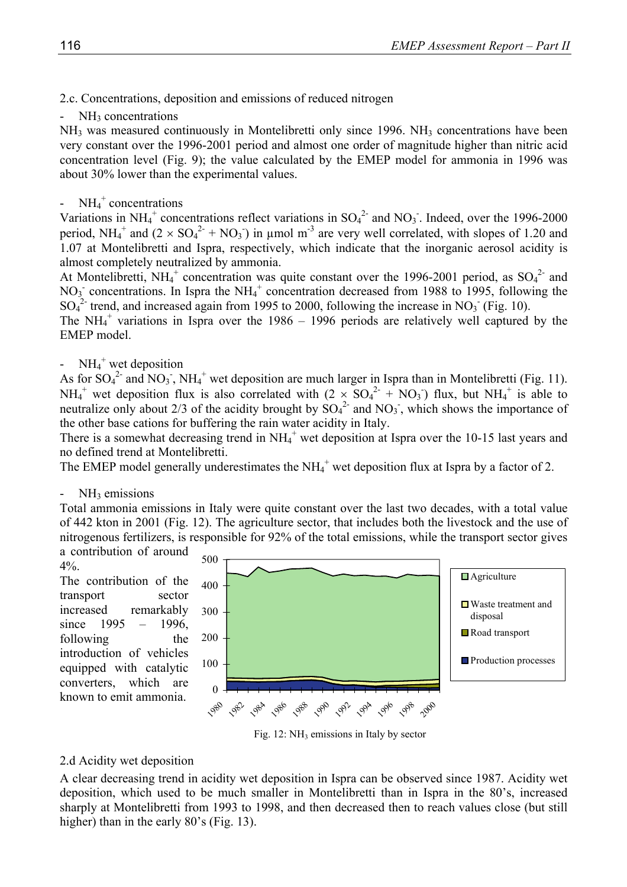2.c. Concentrations, deposition and emissions of reduced nitrogen

 $NH<sub>3</sub>$  concentrations

NH<sub>3</sub> was measured continuously in Montelibretti only since 1996. NH<sub>3</sub> concentrations have been very constant over the 1996-2001 period and almost one order of magnitude higher than nitric acid concentration level (Fig. 9); the value calculated by the EMEP model for ammonia in 1996 was about 30% lower than the experimental values.

# -  $NH_4^+$  concentrations

Variations in NH<sub>4</sub><sup>+</sup> concentrations reflect variations in  $SO_4^2$  and NO<sub>3</sub>. Indeed, over the 1996-2000 period,  $NH_4^+$  and  $(2 \times SO_4^{2-} + NO_3)$  in µmol m<sup>-3</sup> are very well correlated, with slopes of 1.20 and 1.07 at Montelibretti and Ispra, respectively, which indicate that the inorganic aerosol acidity is almost completely neutralized by ammonia.

At Montelibretti,  $NH_4^+$  concentration was quite constant over the 1996-2001 period, as  $SO_4^2$  and  $NO<sub>3</sub>$  concentrations. In Ispra the NH<sub>4</sub><sup>+</sup> concentration decreased from 1988 to 1995, following the  $SO_4^2$  trend, and increased again from 1995 to 2000, following the increase in NO<sub>3</sub> (Fig. 10).

The NH $_4^+$  variations in Ispra over the 1986 – 1996 periods are relatively well captured by the EMEP model.

# -  $NH_4^+$  wet deposition

As for  $SO_4^2$  and  $NO_3$ ,  $NH_4$ <sup>+</sup> wet deposition are much larger in Ispra than in Montelibretti (Fig. 11).  $NH_4^+$  wet deposition flux is also correlated with  $(2 \times SO_4^2 + NO_3)$  flux, but  $NH_4^+$  is able to neutralize only about 2/3 of the acidity brought by  $SO_4^2$  and  $NO_3$ , which shows the importance of the other base cations for buffering the rain water acidity in Italy.

There is a somewhat decreasing trend in NH<sub>4</sub><sup>+</sup> wet deposition at Ispra over the 10-15 last years and no defined trend at Montelibretti.

The EMEP model generally underestimates the  $NH_4^+$  wet deposition flux at Ispra by a factor of 2.

# $NH<sub>3</sub>$  emissions

Total ammonia emissions in Italy were quite constant over the last two decades, with a total value of 442 kton in 2001 (Fig. 12). The agriculture sector, that includes both the livestock and the use of nitrogenous fertilizers, is responsible for 92% of the total emissions, while the transport sector gives a contribution of around

4%. The contribution of the

transport sector increased remarkably since  $1995 - 1996$ , following the introduction of vehicles equipped with catalytic converters, which are known to emit ammonia.



Fig. 12:  $NH_3$  emissions in Italy by sector

# 2.d Acidity wet deposition

A clear decreasing trend in acidity wet deposition in Ispra can be observed since 1987. Acidity wet deposition, which used to be much smaller in Montelibretti than in Ispra in the 80's, increased sharply at Montelibretti from 1993 to 1998, and then decreased then to reach values close (but still higher) than in the early 80's (Fig. 13).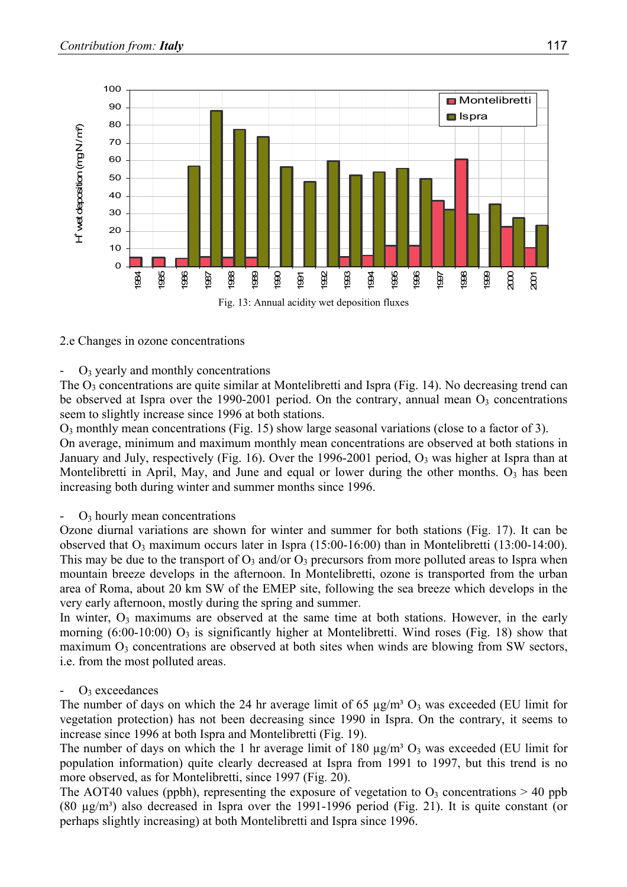

# 2.e Changes in ozone concentrations

## $O<sub>3</sub>$  yearly and monthly concentrations

The  $O_3$  concentrations are quite similar at Montelibretti and Ispra (Fig. 14). No decreasing trend can be observed at Ispra over the 1990-2001 period. On the contrary, annual mean  $O_3$  concentrations seem to slightly increase since 1996 at both stations.

 $O_3$  monthly mean concentrations (Fig. 15) show large seasonal variations (close to a factor of 3).

On average, minimum and maximum monthly mean concentrations are observed at both stations in January and July, respectively (Fig. 16). Over the 1996-2001 period,  $O_3$  was higher at Ispra than at Montelibretti in April, May, and June and equal or lower during the other months.  $O_3$  has been increasing both during winter and summer months since 1996.

## $\sim$  O<sub>3</sub> hourly mean concentrations

Ozone diurnal variations are shown for winter and summer for both stations (Fig. 17). It can be observed that  $O_3$  maximum occurs later in Ispra (15:00-16:00) than in Montelibretti (13:00-14:00). This may be due to the transport of  $O_3$  and/or  $O_3$  precursors from more polluted areas to Ispra when mountain breeze develops in the afternoon. In Montelibretti, ozone is transported from the urban area of Roma, about 20 km SW of the EMEP site, following the sea breeze which develops in the very early afternoon, mostly during the spring and summer.

In winter,  $O_3$  maximums are observed at the same time at both stations. However, in the early morning  $(6:00-10:00)$  O<sub>3</sub> is significantly higher at Montelibretti. Wind roses (Fig. 18) show that maximum  $O_3$  concentrations are observed at both sites when winds are blowing from SW sectors, i.e. from the most polluted areas.

# $O_3$  exceedances

The number of days on which the 24 hr average limit of 65  $\mu$ g/m<sup>3</sup> O<sub>3</sub> was exceeded (EU limit for vegetation protection) has not been decreasing since 1990 in Ispra. On the contrary, it seems to increase since 1996 at both Ispra and Montelibretti (Fig. 19).

The number of days on which the 1 hr average limit of 180  $\mu$ g/m<sup>3</sup> O<sub>3</sub> was exceeded (EU limit for population information) quite clearly decreased at Ispra from 1991 to 1997, but this trend is no more observed, as for Montelibretti, since 1997 (Fig. 20).

The AOT40 values (ppbh), representing the exposure of vegetation to  $O_3$  concentrations  $> 40$  ppb (80  $\mu$ g/m<sup>3</sup>) also decreased in Ispra over the 1991-1996 period (Fig. 21). It is quite constant (or perhaps slightly increasing) at both Montelibretti and Ispra since 1996.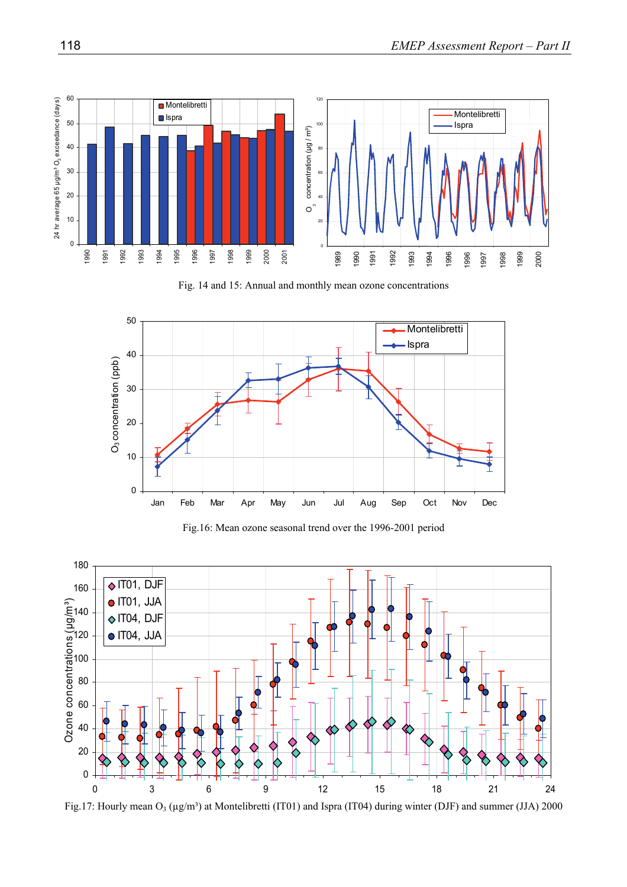

Fig. 14 and 15: Annual and monthly mean ozone concentrations



Fig.16: Mean ozone seasonal trend over the 1996-2001 period



Fig.17: Hourly mean  $O_3$  ( $\mu$ g/m<sup>3</sup>) at Montelibretti (IT01) and Ispra (IT04) during winter (DJF) and summer (JJA) 2000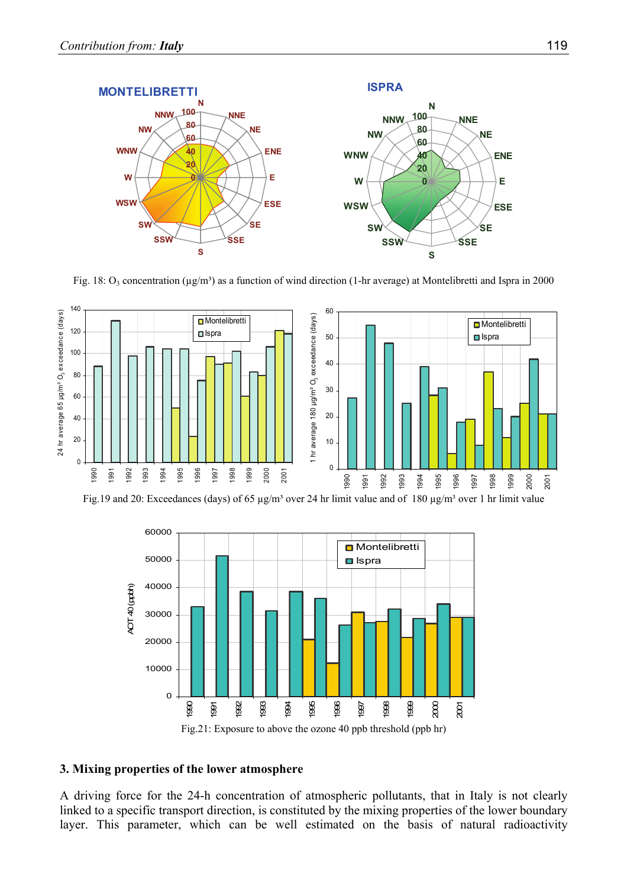

Fig. 18:  $O_3$  concentration ( $\mu$ g/m<sup>3</sup>) as a function of wind direction (1-hr average) at Montelibretti and Ispra in 2000



Fig.19 and 20: Exceedances (days) of 65  $\mu$ g/m<sup>3</sup> over 24 hr limit value and of 180  $\mu$ g/m<sup>3</sup> over 1 hr limit value



#### **3. Mixing properties of the lower atmosphere**

A driving force for the 24-h concentration of atmospheric pollutants, that in Italy is not clearly linked to a specific transport direction, is constituted by the mixing properties of the lower boundary layer. This parameter, which can be well estimated on the basis of natural radioactivity